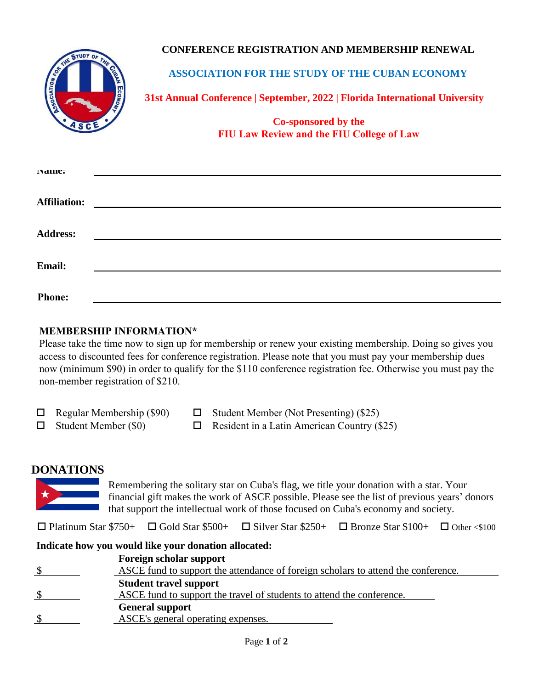### **CONFERENCE REGISTRATION AND MEMBERSHIP RENEWAL**



**ASSOCIATION FOR THE STUDY OF THE CUBAN ECONOMY**

**31st Annual Conference | September, 2022 | Florida International University**

**Co-sponsored by the FIU Law Review and the FIU College of Law**

| гуание:             |                                                                                                                       |  |
|---------------------|-----------------------------------------------------------------------------------------------------------------------|--|
|                     |                                                                                                                       |  |
| <b>Affiliation:</b> | <u>and the state of the state of the state of the state of the state of the state of the state of the state of th</u> |  |
|                     |                                                                                                                       |  |
| <b>Address:</b>     |                                                                                                                       |  |
|                     |                                                                                                                       |  |
|                     |                                                                                                                       |  |
| Email:              |                                                                                                                       |  |
|                     |                                                                                                                       |  |
| <b>Phone:</b>       |                                                                                                                       |  |

### **MEMBERSHIP INFORMATION\***

Please take the time now to sign up for membership or renew your existing membership. Doing so gives you access to discounted fees for conference registration. Please note that you must pay your membership dues now (minimum \$90) in order to qualify for the \$110 conference registration fee. Otherwise you must pay the non-member registration of \$210.

| $\Box$ Regular Membership (\$90) | $\Box$ Student Member (Not Presenting) (\$25)      |
|----------------------------------|----------------------------------------------------|
| $\Box$ Student Member (\$0)      | $\Box$ Resident in a Latin American Country (\$25) |

### **DONATIONS**

Remembering the solitary star on Cuba's flag, we title your donation with a star. Your financial gift makes the work of ASCE possible. Please see the list of previous years' donors that support the intellectual work of those focused on Cuba's economy and society.

 $\Box$  Platinum Star \$750+  $\Box$  Gold Star \$500+  $\Box$  Silver Star \$250+  $\Box$  Bronze Star \$100+  $\Box$  Other <\$100

### **Indicate how you would like your donation allocated:**

| Foreign scholar support                                                                 |
|-----------------------------------------------------------------------------------------|
| \$<br>ASCE fund to support the attendance of foreign scholars to attend the conference. |
| <b>Student travel support</b>                                                           |
| ASCE fund to support the travel of students to attend the conference.                   |
| <b>General support</b>                                                                  |
| ASCE's general operating expenses.                                                      |
|                                                                                         |